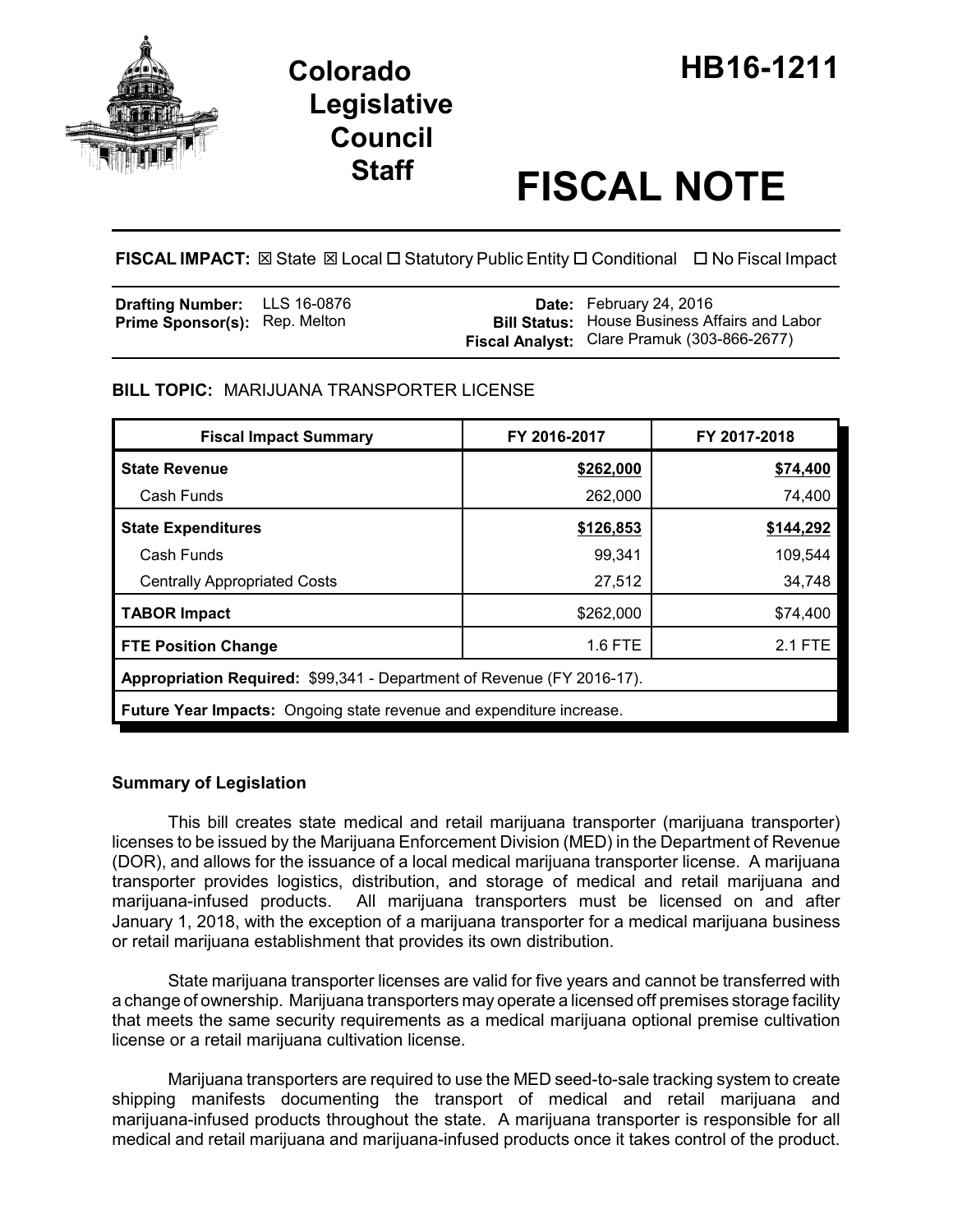

# **Legislative Council**

# **Staff FISCAL NOTE**

**FISCAL IMPACT:** ⊠ State ⊠ Local □ Statutory Public Entity □ Conditional □ No Fiscal Impact

| <b>Drafting Number:</b> LLS 16-0876  |  | <b>Date:</b> February 24, 2016                       |
|--------------------------------------|--|------------------------------------------------------|
| <b>Prime Sponsor(s): Rep. Melton</b> |  | <b>Bill Status:</b> House Business Affairs and Labor |
|                                      |  | Fiscal Analyst: Clare Pramuk (303-866-2677)          |

# **BILL TOPIC:** MARIJUANA TRANSPORTER LICENSE

| <b>Fiscal Impact Summary</b>                                           | FY 2016-2017 | FY 2017-2018 |  |  |  |  |
|------------------------------------------------------------------------|--------------|--------------|--|--|--|--|
| <b>State Revenue</b>                                                   | \$262,000    | \$74,400     |  |  |  |  |
| Cash Funds                                                             | 262,000      | 74,400       |  |  |  |  |
| <b>State Expenditures</b>                                              | \$126,853    | \$144,292    |  |  |  |  |
| Cash Funds                                                             | 99.341       | 109,544      |  |  |  |  |
| <b>Centrally Appropriated Costs</b>                                    | 27,512       | 34,748       |  |  |  |  |
| <b>TABOR Impact</b>                                                    | \$262,000    | \$74,400     |  |  |  |  |
| <b>FTE Position Change</b>                                             | 1.6 FTE      | 2.1 FTE      |  |  |  |  |
| Appropriation Required: \$99,341 - Department of Revenue (FY 2016-17). |              |              |  |  |  |  |
| Future Year Impacts: Ongoing state revenue and expenditure increase.   |              |              |  |  |  |  |

# **Summary of Legislation**

This bill creates state medical and retail marijuana transporter (marijuana transporter) licenses to be issued by the Marijuana Enforcement Division (MED) in the Department of Revenue (DOR), and allows for the issuance of a local medical marijuana transporter license. A marijuana transporter provides logistics, distribution, and storage of medical and retail marijuana and marijuana-infused products. All marijuana transporters must be licensed on and after January 1, 2018, with the exception of a marijuana transporter for a medical marijuana business or retail marijuana establishment that provides its own distribution.

State marijuana transporter licenses are valid for five years and cannot be transferred with a change of ownership. Marijuana transporters may operate a licensed off premises storage facility that meets the same security requirements as a medical marijuana optional premise cultivation license or a retail marijuana cultivation license.

Marijuana transporters are required to use the MED seed-to-sale tracking system to create shipping manifests documenting the transport of medical and retail marijuana and marijuana-infused products throughout the state. A marijuana transporter is responsible for all medical and retail marijuana and marijuana-infused products once it takes control of the product.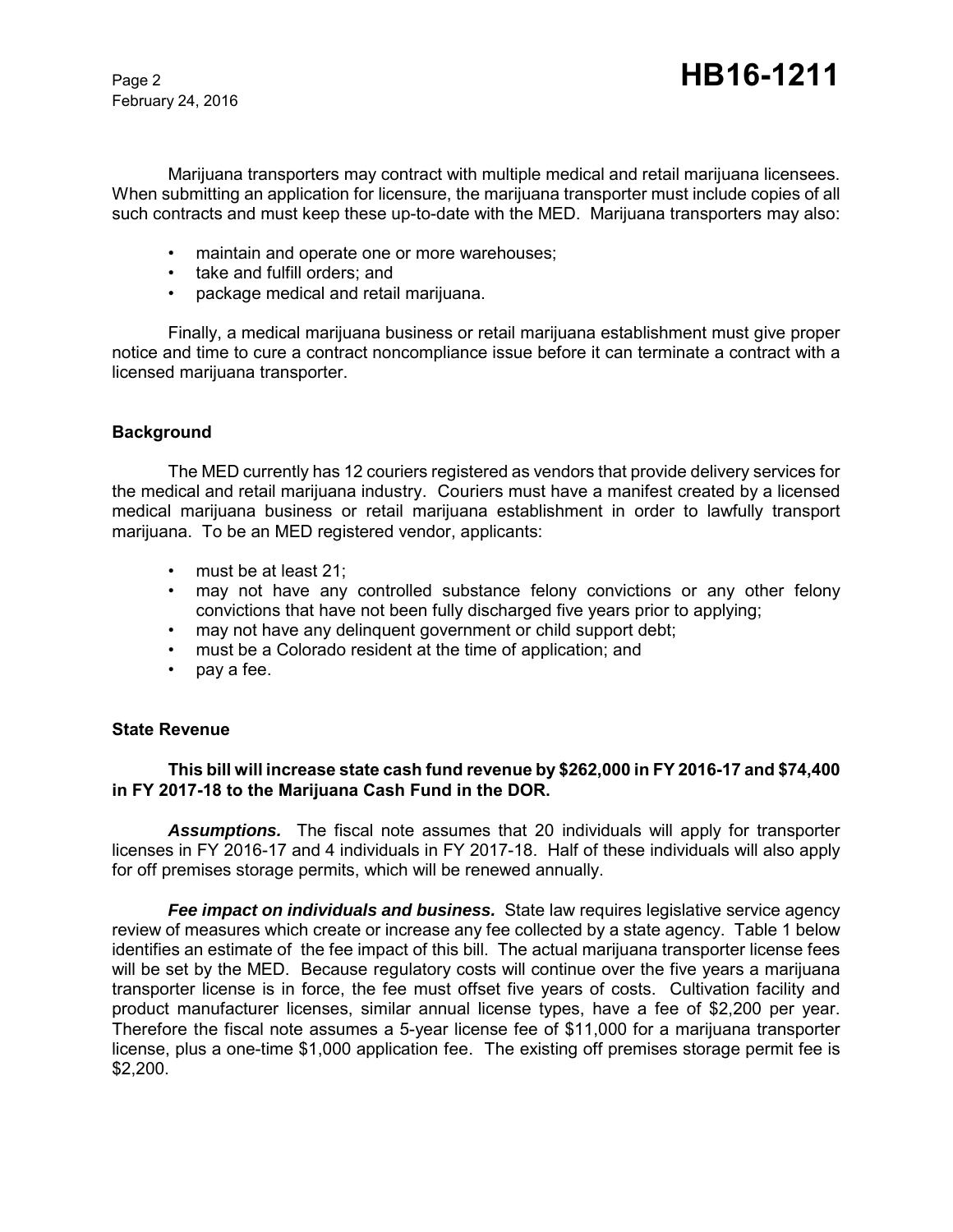February 24, 2016

Marijuana transporters may contract with multiple medical and retail marijuana licensees. When submitting an application for licensure, the marijuana transporter must include copies of all such contracts and must keep these up-to-date with the MED. Marijuana transporters may also:

- maintain and operate one or more warehouses;
- take and fulfill orders; and
- package medical and retail marijuana.

Finally, a medical marijuana business or retail marijuana establishment must give proper notice and time to cure a contract noncompliance issue before it can terminate a contract with a licensed marijuana transporter.

### **Background**

The MED currently has 12 couriers registered as vendors that provide delivery services for the medical and retail marijuana industry. Couriers must have a manifest created by a licensed medical marijuana business or retail marijuana establishment in order to lawfully transport marijuana. To be an MED registered vendor, applicants:

- must be at least 21;
- may not have any controlled substance felony convictions or any other felony convictions that have not been fully discharged five years prior to applying;
- may not have any delinquent government or child support debt;
- must be a Colorado resident at the time of application; and
- pay a fee.

#### **State Revenue**

# **This bill will increase state cash fund revenue by \$262,000 in FY 2016-17 and \$74,400 in FY 2017-18 to the Marijuana Cash Fund in the DOR.**

*Assumptions.* The fiscal note assumes that 20 individuals will apply for transporter licenses in FY 2016-17 and 4 individuals in FY 2017-18. Half of these individuals will also apply for off premises storage permits, which will be renewed annually.

*Fee impact on individuals and business.* State law requires legislative service agency review of measures which create or increase any fee collected by a state agency. Table 1 below identifies an estimate of the fee impact of this bill. The actual marijuana transporter license fees will be set by the MED. Because regulatory costs will continue over the five years a marijuana transporter license is in force, the fee must offset five years of costs. Cultivation facility and product manufacturer licenses, similar annual license types, have a fee of \$2,200 per year. Therefore the fiscal note assumes a 5-year license fee of \$11,000 for a marijuana transporter license, plus a one-time \$1,000 application fee. The existing off premises storage permit fee is \$2,200.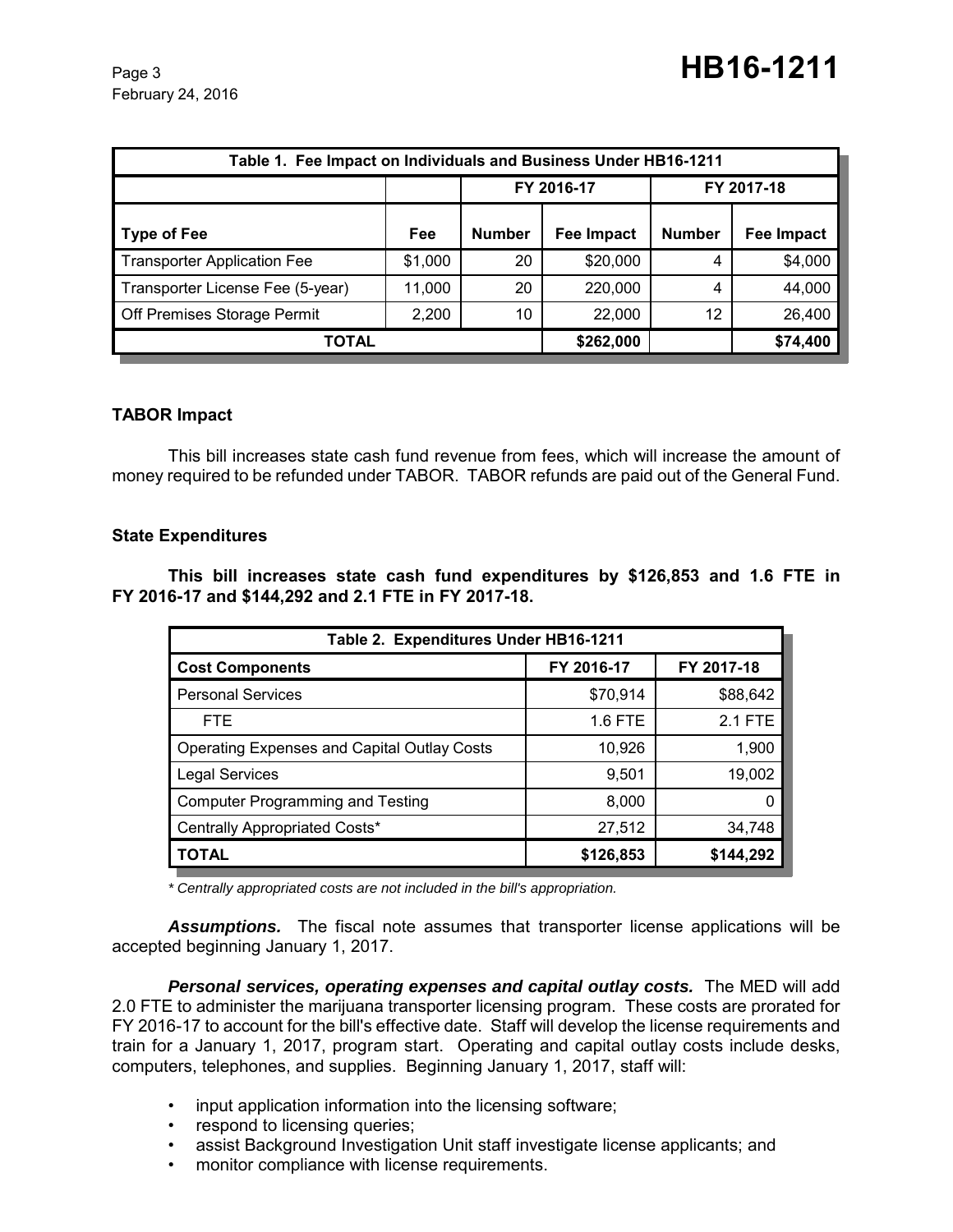February 24, 2016

| Table 1. Fee Impact on Individuals and Business Under HB16-1211 |         |               |                   |               |            |  |
|-----------------------------------------------------------------|---------|---------------|-------------------|---------------|------------|--|
|                                                                 |         | FY 2016-17    |                   | FY 2017-18    |            |  |
| Type of Fee                                                     | Fee     | <b>Number</b> | <b>Fee Impact</b> | <b>Number</b> | Fee Impact |  |
| <b>Transporter Application Fee</b>                              | \$1,000 | 20            | \$20,000          | 4             | \$4,000    |  |
| Transporter License Fee (5-year)                                | 11,000  | 20            | 220,000           | 4             | 44,000     |  |
| Off Premises Storage Permit                                     | 2,200   | 10            | 22,000            | 12            | 26,400     |  |
| TOTAL                                                           |         |               | \$262,000         |               | \$74,400   |  |

# **TABOR Impact**

This bill increases state cash fund revenue from fees, which will increase the amount of money required to be refunded under TABOR. TABOR refunds are paid out of the General Fund.

### **State Expenditures**

**This bill increases state cash fund expenditures by \$126,853 and 1.6 FTE in FY 2016-17 and \$144,292 and 2.1 FTE in FY 2017-18.** 

| Table 2. Expenditures Under HB16-1211              |            |            |  |  |  |
|----------------------------------------------------|------------|------------|--|--|--|
| <b>Cost Components</b>                             | FY 2016-17 | FY 2017-18 |  |  |  |
| <b>Personal Services</b>                           | \$70,914   | \$88,642   |  |  |  |
| <b>FTE</b>                                         | 1.6 FTE    | 2.1 FTE    |  |  |  |
| <b>Operating Expenses and Capital Outlay Costs</b> | 10,926     | 1,900      |  |  |  |
| <b>Legal Services</b>                              | 9,501      | 19,002     |  |  |  |
| <b>Computer Programming and Testing</b>            | 8,000      |            |  |  |  |
| Centrally Appropriated Costs*                      | 27,512     | 34,748     |  |  |  |
| <b>TOTAL</b>                                       | \$126,853  | \$144,292  |  |  |  |

*\* Centrally appropriated costs are not included in the bill's appropriation.*

*Assumptions.* The fiscal note assumes that transporter license applications will be accepted beginning January 1, 2017.

**Personal services, operating expenses and capital outlay costs.** The MED will add 2.0 FTE to administer the marijuana transporter licensing program. These costs are prorated for FY 2016-17 to account for the bill's effective date. Staff will develop the license requirements and train for a January 1, 2017, program start. Operating and capital outlay costs include desks, computers, telephones, and supplies. Beginning January 1, 2017, staff will:

- input application information into the licensing software;
- respond to licensing queries;
- assist Background Investigation Unit staff investigate license applicants; and
- monitor compliance with license requirements.